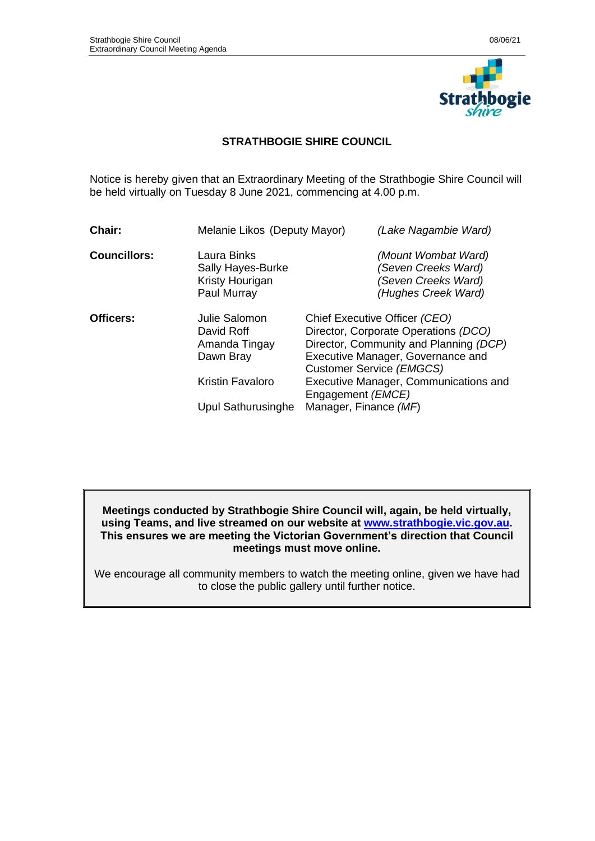

# **STRATHBOGIE SHIRE COUNCIL**

Notice is hereby given that an Extraordinary Meeting of the Strathbogie Shire Council will be held virtually on Tuesday 8 June 2021, commencing at 4.00 p.m.

| Laura Binks<br><b>Sally Hayes-Burke</b><br>Kristy Hourigan<br>Paul Murray<br>Julie Salomon | (Mount Wombat Ward)<br>(Seven Creeks Ward)<br>(Seven Creeks Ward)<br>(Hughes Creek Ward)                                                                                                                                                                                         |
|--------------------------------------------------------------------------------------------|----------------------------------------------------------------------------------------------------------------------------------------------------------------------------------------------------------------------------------------------------------------------------------|
|                                                                                            |                                                                                                                                                                                                                                                                                  |
| David Roff<br>Amanda Tingay<br>Dawn Bray<br>Kristin Favaloro                               | Chief Executive Officer (CEO)<br>Director, Corporate Operations (DCO)<br>Director, Community and Planning (DCP)<br>Executive Manager, Governance and<br>Customer Service (EMGCS)<br>Executive Manager, Communications and<br>Engagement ( <i>EMCE</i> )<br>Manager, Finance (MF) |
|                                                                                            | Upul Sathurusinghe                                                                                                                                                                                                                                                               |

**Meetings conducted by Strathbogie Shire Council will, again, be held virtually, using Teams, and live streamed on our website at [www.strathbogie.vic.gov.au.](http://www.strathbogie.vic.gov.au/) This ensures we are meeting the Victorian Government's direction that Council meetings must move online.** 

We encourage all community members to watch the meeting online, given we have had to close the public gallery until further notice.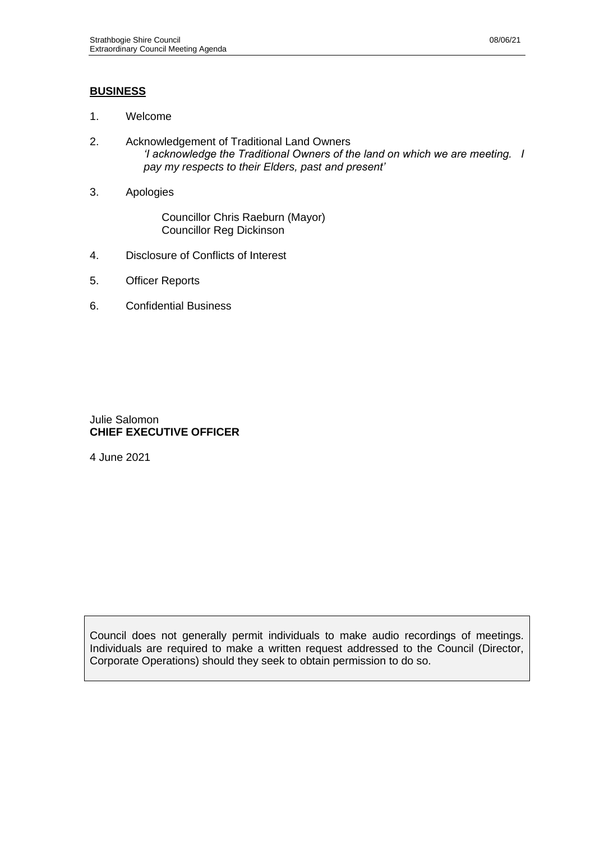# **BUSINESS**

- 1. Welcome
- 2. Acknowledgement of Traditional Land Owners *'I acknowledge the Traditional Owners of the land on which we are meeting. I pay my respects to their Elders, past and present'*
- 3. Apologies

Councillor Chris Raeburn (Mayor) Councillor Reg Dickinson

- 4. Disclosure of Conflicts of Interest
- 5. Officer Reports
- 6. Confidential Business

## Julie Salomon **CHIEF EXECUTIVE OFFICER**

4 June 2021

Council does not generally permit individuals to make audio recordings of meetings. Individuals are required to make a written request addressed to the Council (Director, Corporate Operations) should they seek to obtain permission to do so.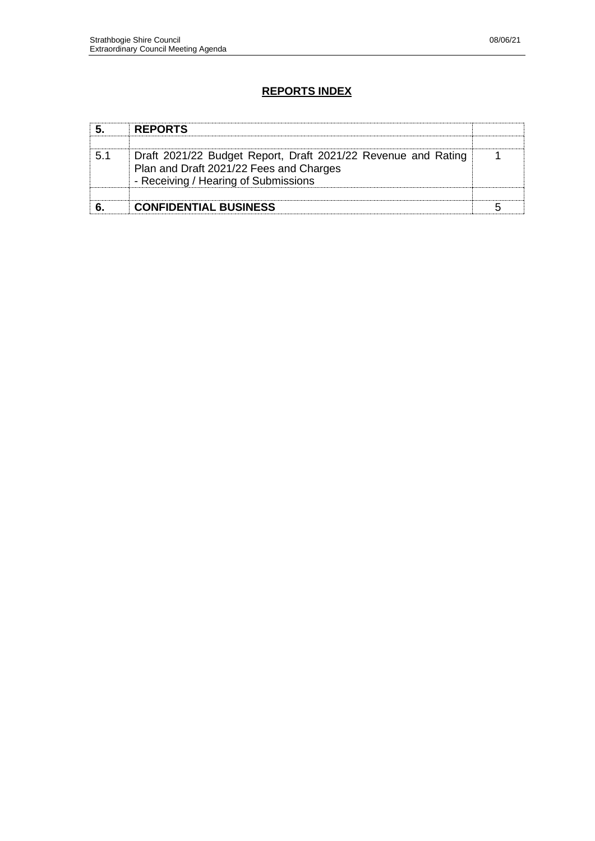# **REPORTS INDEX**

| <b>REPORTS</b>                                                                                                                                   |  |
|--------------------------------------------------------------------------------------------------------------------------------------------------|--|
| Draft 2021/22 Budget Report, Draft 2021/22 Revenue and Rating<br>Plan and Draft 2021/22 Fees and Charges<br>- Receiving / Hearing of Submissions |  |
| <b>CONFIDENTIAL BUSINESS</b>                                                                                                                     |  |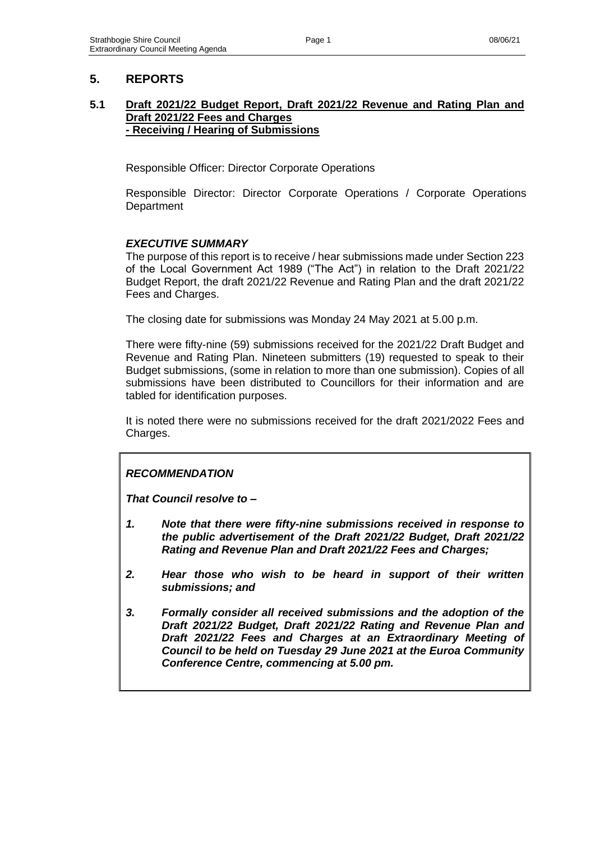# **5. REPORTS**

#### **5.1 Draft 2021/22 Budget Report, Draft 2021/22 Revenue and Rating Plan and Draft 2021/22 Fees and Charges - Receiving / Hearing of Submissions**

Responsible Officer: Director Corporate Operations

Responsible Director: Director Corporate Operations / Corporate Operations **Department** 

## *EXECUTIVE SUMMARY*

The purpose of this report is to receive / hear submissions made under Section 223 of the Local Government Act 1989 ("The Act") in relation to the Draft 2021/22 Budget Report, the draft 2021/22 Revenue and Rating Plan and the draft 2021/22 Fees and Charges.

The closing date for submissions was Monday 24 May 2021 at 5.00 p.m.

There were fifty-nine (59) submissions received for the 2021/22 Draft Budget and Revenue and Rating Plan. Nineteen submitters (19) requested to speak to their Budget submissions, (some in relation to more than one submission). Copies of all submissions have been distributed to Councillors for their information and are tabled for identification purposes.

It is noted there were no submissions received for the draft 2021/2022 Fees and Charges.

# *RECOMMENDATION*

*That Council resolve to –*

- *1. Note that there were fifty-nine submissions received in response to the public advertisement of the Draft 2021/22 Budget, Draft 2021/22 Rating and Revenue Plan and Draft 2021/22 Fees and Charges;*
- *2. Hear those who wish to be heard in support of their written submissions; and*
- *3. Formally consider all received submissions and the adoption of the Draft 2021/22 Budget, Draft 2021/22 Rating and Revenue Plan and Draft 2021/22 Fees and Charges at an Extraordinary Meeting of Council to be held on Tuesday 29 June 2021 at the Euroa Community Conference Centre, commencing at 5.00 pm.*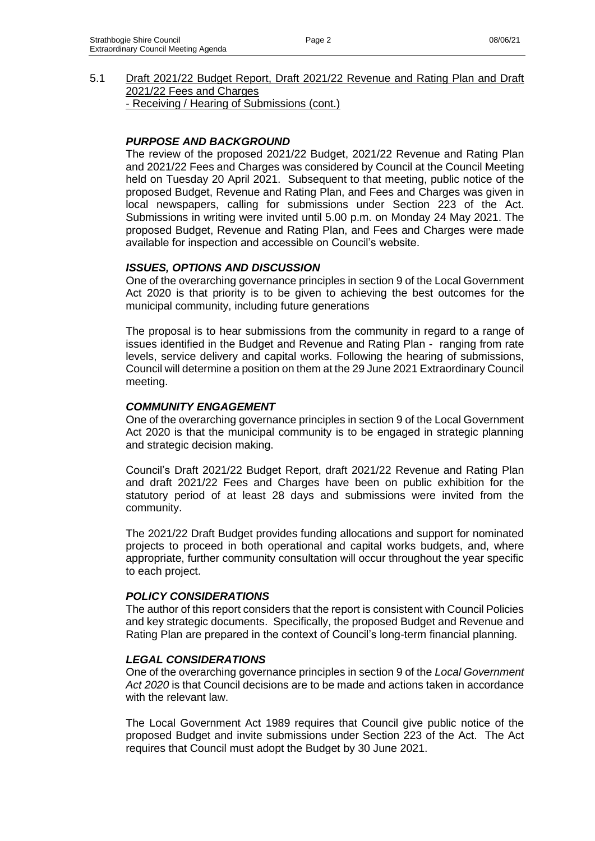5.1 Draft 2021/22 Budget Report, Draft 2021/22 Revenue and Rating Plan and Draft 2021/22 Fees and Charges - Receiving / Hearing of Submissions (cont.)

## *PURPOSE AND BACKGROUND*

The review of the proposed 2021/22 Budget, 2021/22 Revenue and Rating Plan and 2021/22 Fees and Charges was considered by Council at the Council Meeting held on Tuesday 20 April 2021. Subsequent to that meeting, public notice of the proposed Budget, Revenue and Rating Plan, and Fees and Charges was given in local newspapers, calling for submissions under Section 223 of the Act. Submissions in writing were invited until 5.00 p.m. on Monday 24 May 2021. The proposed Budget, Revenue and Rating Plan, and Fees and Charges were made available for inspection and accessible on Council's website.

#### *ISSUES, OPTIONS AND DISCUSSION*

One of the overarching governance principles in section 9 of the Local Government Act 2020 is that priority is to be given to achieving the best outcomes for the municipal community, including future generations

The proposal is to hear submissions from the community in regard to a range of issues identified in the Budget and Revenue and Rating Plan - ranging from rate levels, service delivery and capital works. Following the hearing of submissions, Council will determine a position on them at the 29 June 2021 Extraordinary Council meeting.

#### *COMMUNITY ENGAGEMENT*

One of the overarching governance principles in section 9 of the Local Government Act 2020 is that the municipal community is to be engaged in strategic planning and strategic decision making.

Council's Draft 2021/22 Budget Report, draft 2021/22 Revenue and Rating Plan and draft 2021/22 Fees and Charges have been on public exhibition for the statutory period of at least 28 days and submissions were invited from the community.

The 2021/22 Draft Budget provides funding allocations and support for nominated projects to proceed in both operational and capital works budgets, and, where appropriate, further community consultation will occur throughout the year specific to each project.

#### *POLICY CONSIDERATIONS*

The author of this report considers that the report is consistent with Council Policies and key strategic documents. Specifically, the proposed Budget and Revenue and Rating Plan are prepared in the context of Council's long-term financial planning.

#### *LEGAL CONSIDERATIONS*

One of the overarching governance principles in section 9 of the *Local Government Act 2020* is that Council decisions are to be made and actions taken in accordance with the relevant law.

The Local Government Act 1989 requires that Council give public notice of the proposed Budget and invite submissions under Section 223 of the Act. The Act requires that Council must adopt the Budget by 30 June 2021.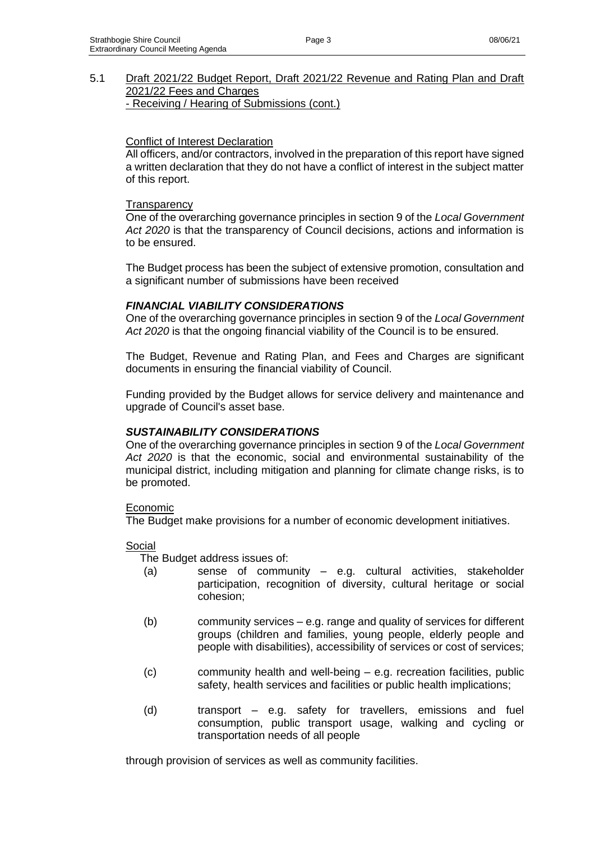5.1 Draft 2021/22 Budget Report, Draft 2021/22 Revenue and Rating Plan and Draft 2021/22 Fees and Charges - Receiving / Hearing of Submissions (cont.)

## Conflict of Interest Declaration

All officers, and/or contractors, involved in the preparation of this report have signed a written declaration that they do not have a conflict of interest in the subject matter of this report.

## **Transparency**

One of the overarching governance principles in section 9 of the *Local Government Act 2020* is that the transparency of Council decisions, actions and information is to be ensured.

The Budget process has been the subject of extensive promotion, consultation and a significant number of submissions have been received

## *FINANCIAL VIABILITY CONSIDERATIONS*

One of the overarching governance principles in section 9 of the *Local Government Act 2020* is that the ongoing financial viability of the Council is to be ensured.

The Budget, Revenue and Rating Plan, and Fees and Charges are significant documents in ensuring the financial viability of Council.

Funding provided by the Budget allows for service delivery and maintenance and upgrade of Council's asset base.

## *SUSTAINABILITY CONSIDERATIONS*

One of the overarching governance principles in section 9 of the *Local Government Act 2020* is that the economic, social and environmental sustainability of the municipal district, including mitigation and planning for climate change risks, is to be promoted.

## Economic

The Budget make provisions for a number of economic development initiatives.

## Social

The Budget address issues of:

- (a) sense of community e.g. cultural activities, stakeholder participation, recognition of diversity, cultural heritage or social cohesion;
- (b) community services e.g. range and quality of services for different groups (children and families, young people, elderly people and people with disabilities), accessibility of services or cost of services;
- (c) community health and well-being e.g. recreation facilities, public safety, health services and facilities or public health implications;
- (d) transport e.g. safety for travellers, emissions and fuel consumption, public transport usage, walking and cycling or transportation needs of all people

through provision of services as well as community facilities.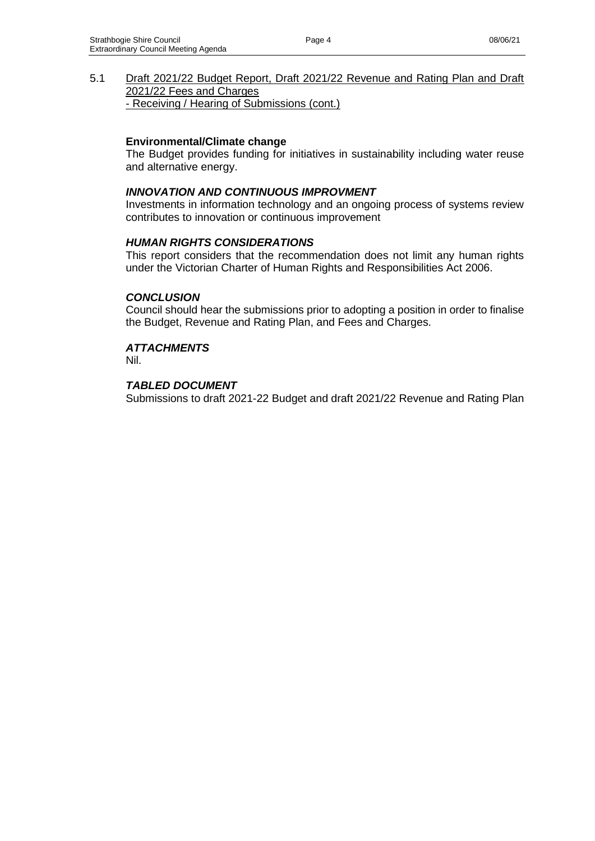5.1 Draft 2021/22 Budget Report, Draft 2021/22 Revenue and Rating Plan and Draft 2021/22 Fees and Charges - Receiving / Hearing of Submissions (cont.)

#### **Environmental/Climate change**

The Budget provides funding for initiatives in sustainability including water reuse and alternative energy.

## *INNOVATION AND CONTINUOUS IMPROVMENT*

Investments in information technology and an ongoing process of systems review contributes to innovation or continuous improvement

#### *HUMAN RIGHTS CONSIDERATIONS*

This report considers that the recommendation does not limit any human rights under the Victorian Charter of Human Rights and Responsibilities Act 2006.

#### *CONCLUSION*

Council should hear the submissions prior to adopting a position in order to finalise the Budget, Revenue and Rating Plan, and Fees and Charges.

#### *ATTACHMENTS*

Nil.

#### *TABLED DOCUMENT*

Submissions to draft 2021-22 Budget and draft 2021/22 Revenue and Rating Plan